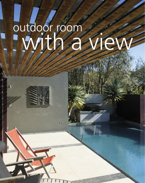# outdoor room with a view



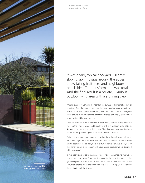

words: Allyson Madsen pictures: Simon Devitt

It was a fairly typical backyard – slightly sloping lawn, foliage around the edges, a few failing fruit trees and neighbours on all sides. The transformation was total. And the final result is a private, luxurious outdoor living area with a stunning view.

When it came to re-vamping their garden, the owners of this home had several objectives. First, they wanted to create their own outdoor view; second, they wanted a flush-deck pool that was easily available to the house, and had good space around it for entertaining family and friends; and finally, they wanted privacy without blocking the sun.

They are planning a full renovation of their home, starting at the back and working their way forward, and brought in architect Malcolm Taylor of XSite Architects to give shape to their ideas. They had commissioned Malcolm before for an apartment garden and knew they liked his work.

"Malcolm was particularly good at drawing, in a three-dimensional sense, what he thought the area would look like," say the owners. "That was really useful, because it can be really hard to picture it from a plan. We're very happy that he felt he could experiment with us as he did, because we are delighted with the results."

Bi-fold doors open wide to the new outdoor vista. The immediate impression is of a continuous, even flow from the home to the deck, the pool and the garden beyond, all emphasised by the flush surface of the water. Colour and texture attract the eye to the other elements of the landscape, but the pool is the centrepiece of the design.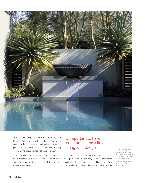

"It is the most unique feature of the landscape," says Malcolm. "We used a sculptural technique to draw the water straight to the edge and built a weir all around the pool. The surface, therefore, has a flat, still, reflective quality – there are no ripples bouncing off the side walls."

At the far end is a raised vessel fountain, which can be dramatically uplit at night. The gentle sound of water as it overflows into the pool adds to a pleasant, cooling atmosphere.

## It's important to have some fun and be a little daring with design For a non-slip finish

Safety was a concern for the owners, who have two young daughters. However, they believe the flush design is actually safer and easier for the children to use. There are handholds on three sides of the pool, where the

around your home, use Resene Non-Skid Deck & Path, tinted to complement your colour scheme, to reduce the risk of accident.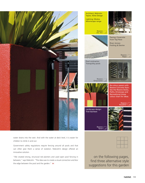

water drains into the weir. And with the water at deck level, it is easier for children to climb in and out.

Government safety regulations require fencing around all pools and that can often give them a sense of isolation. Malcolm's design offered an innovative solution.

"We created strong, structural red planters and used open pool fencing in between," says Malcolm. "The idea was to create a visual connection and blur the edge between the pool and the garden."  $\mathsf H$ 

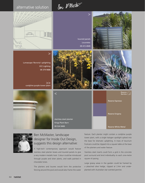Ben MMaster.



>

Lumascape 'Boronia' uplighting ECC Lighting 09 379 9680

>> cordyline purple tower plant



stainless steel planter Kings Plant Barn 09 524 9400



#### Ben McMaster, landscape designer for Inside Out Design, suggests this design alternative:

 $\lt$ 

A high-tech contemporary approach would feature stainless steel planter boxes and louvred panels to give a very modern metallic look. Colour could be introduced through purple and silver plants, and walls painted in chocolate tones.

The planters and louvres would form the protective fencing around the pool and would also frame the water

feature. Each planter might contain a cordyline purple tower plant, with a single halogen spotlight spiked into the base for dramatic uplighting. A mass of teucrium fruticans could be clipped into a square table at the base of the planters and water feature.

Stainless steel inserts could form a grid in the concrete pool surround and lend individuality to each one-metre square of paving.

Large grassy areas in the garden could be framed by a pleached olive hedge, clipped at 2.4m and underplanted with Australian star scented jasmine.



louvred panels Louvretec 09 415 4949

>



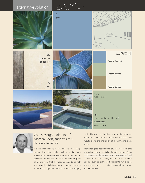### alternative solution







#### Carlos Morgan, director of Morgan Pools, suggests this design alternative:

A sleek, modernist approach lends itself to sharp, elegant lines that could combine a dark pool interior with a very pale limestone surround and lush greenery. The pool would have a wet edge or gutter all around it, so that the water appears to go right into the paving. Pale Portuguese or Spanish limestone in reasonably large tiles would surround it. In keeping

with this look, at the deep end, a sheer-descent waterfall coming from a 2-metre slit in a solid wall would create the impression of a shimmering piece of glass.

Frameless glass pool fencing could have a gate that opens to a pathway of big flat slabs of limestone. Steps to the upper section of lawn would be concrete, faced in limestone. The planting would call for modern species, such as palms and succulents, while open grassy areas would be retained to contribute a sense of spaciousness.